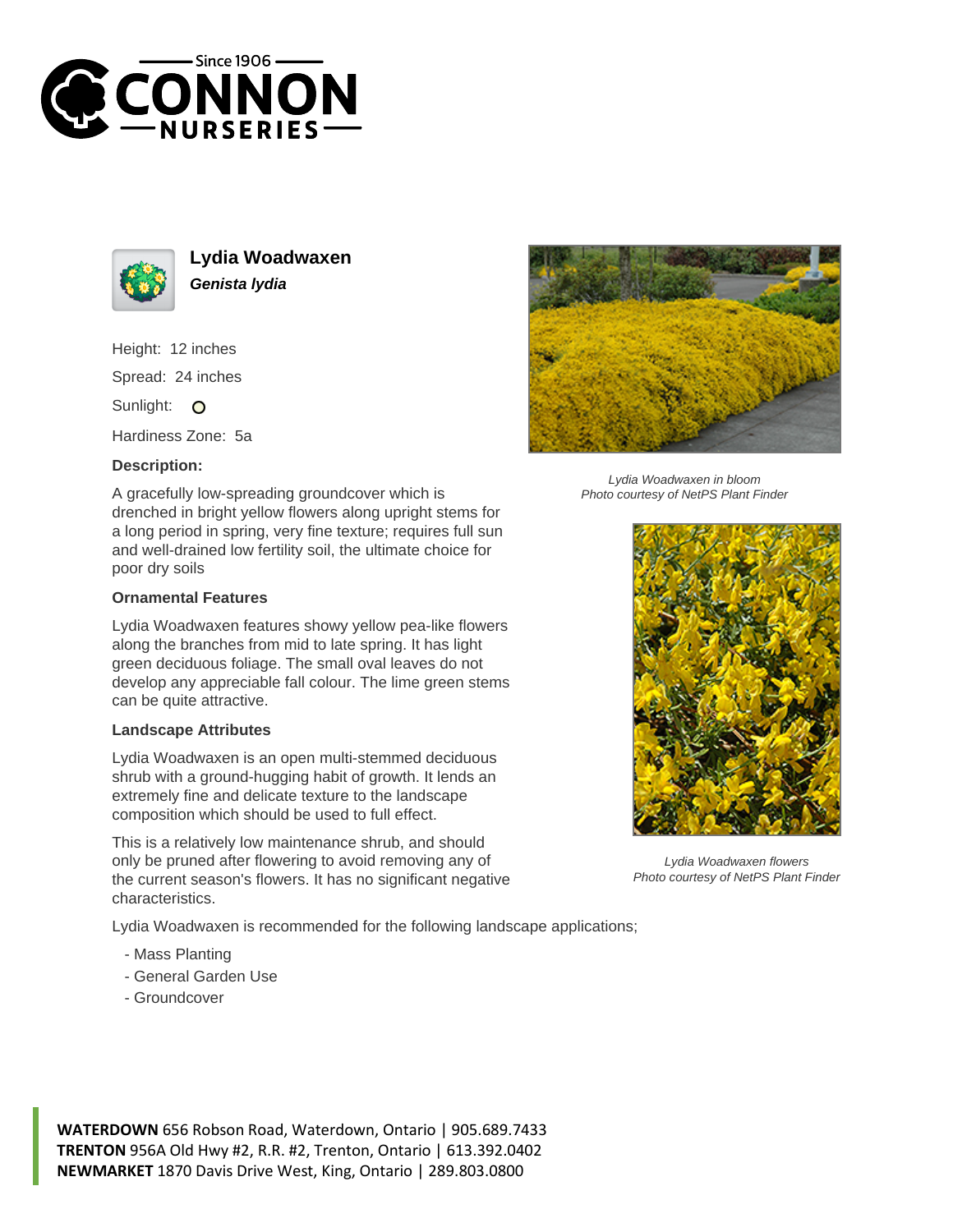



**Lydia Woadwaxen Genista lydia**

Height: 12 inches Spread: 24 inches

Sunlight: O

Hardiness Zone: 5a

## **Description:**

A gracefully low-spreading groundcover which is drenched in bright yellow flowers along upright stems for a long period in spring, very fine texture; requires full sun and well-drained low fertility soil, the ultimate choice for poor dry soils

## **Ornamental Features**

Lydia Woadwaxen features showy yellow pea-like flowers along the branches from mid to late spring. It has light green deciduous foliage. The small oval leaves do not develop any appreciable fall colour. The lime green stems can be quite attractive.

## **Landscape Attributes**

Lydia Woadwaxen is an open multi-stemmed deciduous shrub with a ground-hugging habit of growth. It lends an extremely fine and delicate texture to the landscape composition which should be used to full effect.

This is a relatively low maintenance shrub, and should only be pruned after flowering to avoid removing any of the current season's flowers. It has no significant negative characteristics.

Lydia Woadwaxen is recommended for the following landscape applications;

- Mass Planting
- General Garden Use
- Groundcover



Lydia Woadwaxen in bloom Photo courtesy of NetPS Plant Finder



Lydia Woadwaxen flowers Photo courtesy of NetPS Plant Finder

**WATERDOWN** 656 Robson Road, Waterdown, Ontario | 905.689.7433 **TRENTON** 956A Old Hwy #2, R.R. #2, Trenton, Ontario | 613.392.0402 **NEWMARKET** 1870 Davis Drive West, King, Ontario | 289.803.0800